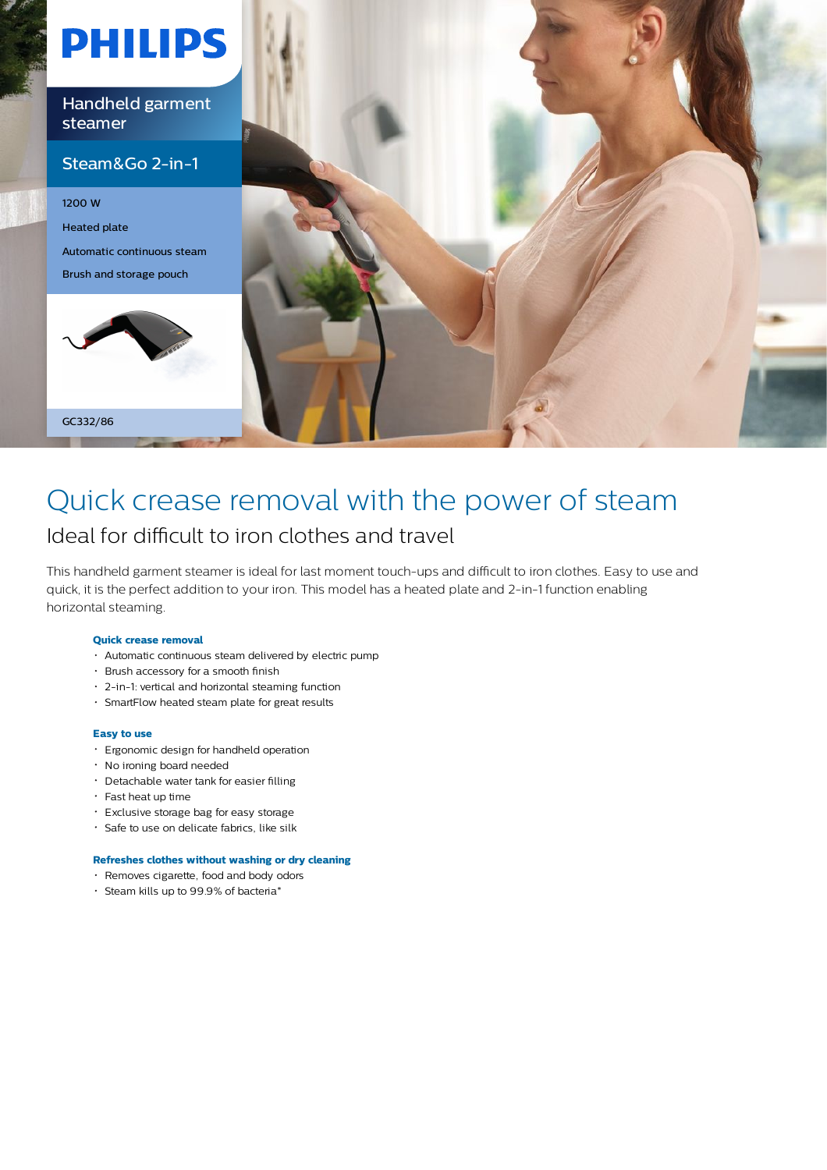

### Quick crease removal with the power of steam Ideal for difficult to iron clothes and travel

This handheld garment steamer is ideal for last moment touch-ups and difficult to iron clothes. Easy to use and quick, it is the perfect addition to your iron. This model has a heated plate and 2-in-1 function enabling horizontal steaming.

#### **Quick crease removal**

- Automatic continuous steam delivered by electric pump
- Brush accessory for a smooth finish
- 2-in-1: vertical and horizontal steaming function
- SmartFlow heated steam plate for great results

#### **Easy to use**

- Ergonomic design for handheld operation
- No ironing board needed
- Detachable water tank for easier filling
- $\cdot$  Fast heat up time
- Exclusive storage bag for easy storage
- Safe to use on delicate fabrics, like silk

#### **Refreshes clothes without washing or dry cleaning**

- Removes cigarette, food and body odors
- Steam kills up to 99.9% of bacteria\*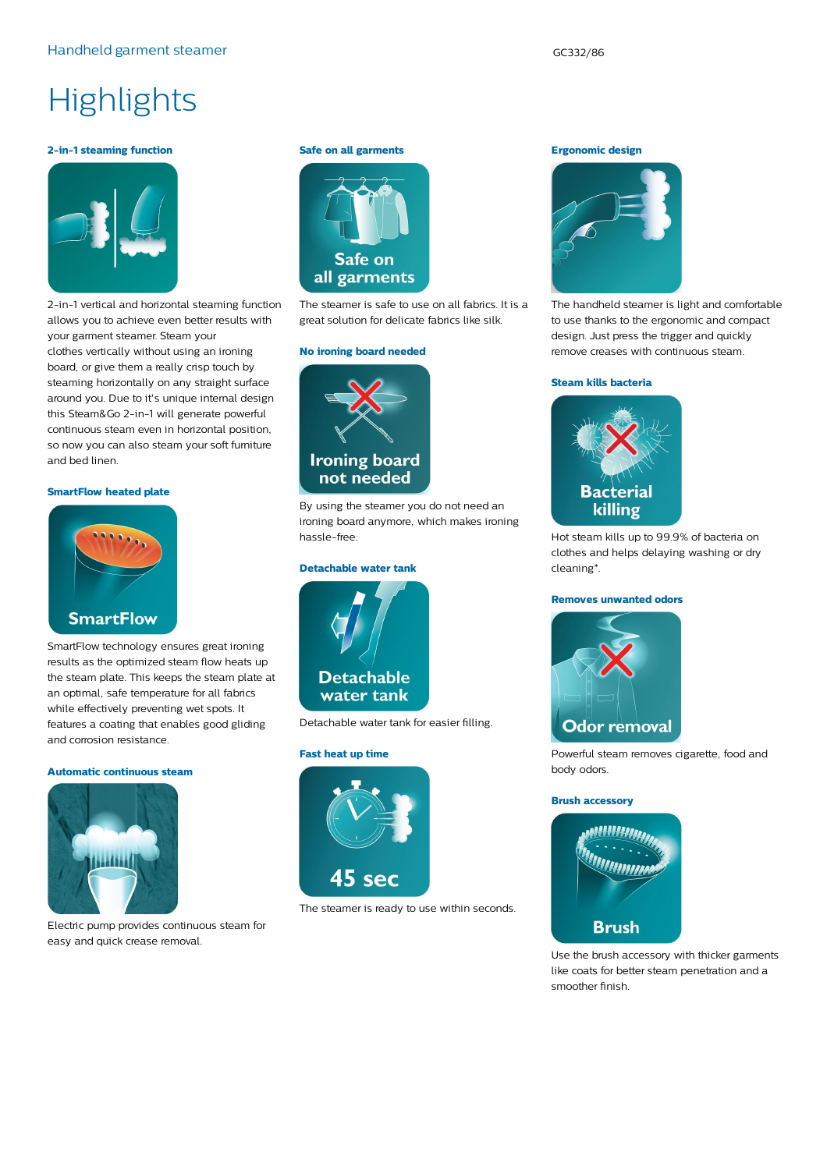# **Highlights**

#### **2-in-1 steaming function**



2-in-1 vertical and horizontal steaming function allows you to achieve even better results with your garment steamer. Steam your clothes vertically without using an ironing board, or give them a really crisp touch by steaming horizontally on any straight surface around you. Due to it's unique internal design this Steam&Go 2-in-1 will generate powerful continuous steam even in horizontal position, so now you can also steam your soft furniture and bed linen.

#### **SmartFlow heated plate**



SmartFlow technology ensures great ironing results as the optimized steam flow heats up the steam plate. This keeps the steam plate at an optimal, safe temperature for all fabrics while effectively preventing wet spots. It features a coating that enables good gliding and corrosion resistance.

#### **Automatic continuous steam**



Electric pump provides continuous steam for easy and quick crease removal.

#### **Safe on all garments**



The steamer is safe to use on all fabrics. It is a great solution for delicate fabrics like silk.

#### **No ironing board needed**



By using the steamer you do not need an ironing board anymore, which makes ironing hassle-free.

#### **Detachable water tank**



Detachable water tank for easier filling.

#### **Fast heat up time**



The steamer is ready to use within seconds.

#### **Ergonomic design**



The handheld steamer is light and comfortable to use thanks to the ergonomic and compact design. Just press the trigger and quickly remove creases with continuous steam.

#### **Steam kills bacteria**



Hot steam kills up to 99.9% of bacteria on clothes and helps delaying washing or dry cleaning\*.

#### **Removes unwanted odors**



Powerful steam removes cigarette, food and body odors.

#### **Brush accessory**



Use the brush accessory with thicker garments like coats for better steam penetration and a smoother finish.